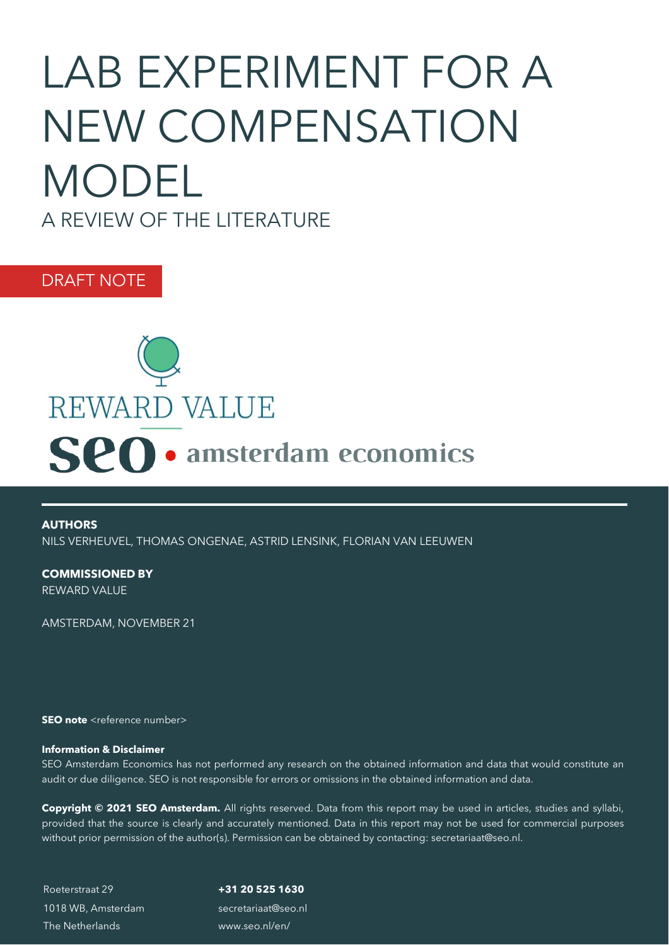# LAB EXPERIMENT FOR A NEW COMPENSATION MODEL A REVIEW OF THE LITERATURE

DRAFT NOTE



**AUTHORS** NILS VERHEUVEL, THOMAS ONGENAE, ASTRID LENSINK, FLORIAN VAN LEEUWEN

**COMMISSIONED BY** REWARD VALUE

AMSTERDAM, NOVEMBER 21

**SEO note** <reference number>

#### **Information & Disclaimer**

SEO Amsterdam Economics has not performed any research on the obtained information and data that would constitute an audit or due diligence. SEO is not responsible for errors or omissions in the obtained information and data.

**Copyright © 2021 SEO Amsterdam.** All rights reserved. Data from this report may be used in articles, studies and syllabi, provided that the source is clearly and accurately mentioned. Data in this report may not be used for commercial purposes without prior permission of the author(s). Permission can be obtained by contacting: [secretariaat@seo.nl.](mailto:secretariaat@seo.nl)

Roeterstraat 29 1018 WB, Amsterdam The Netherlands

**+31 20 525 1630** [secretariaat@seo.nl](mailto:secretariaat@seo.nl) www.seo.nl/en/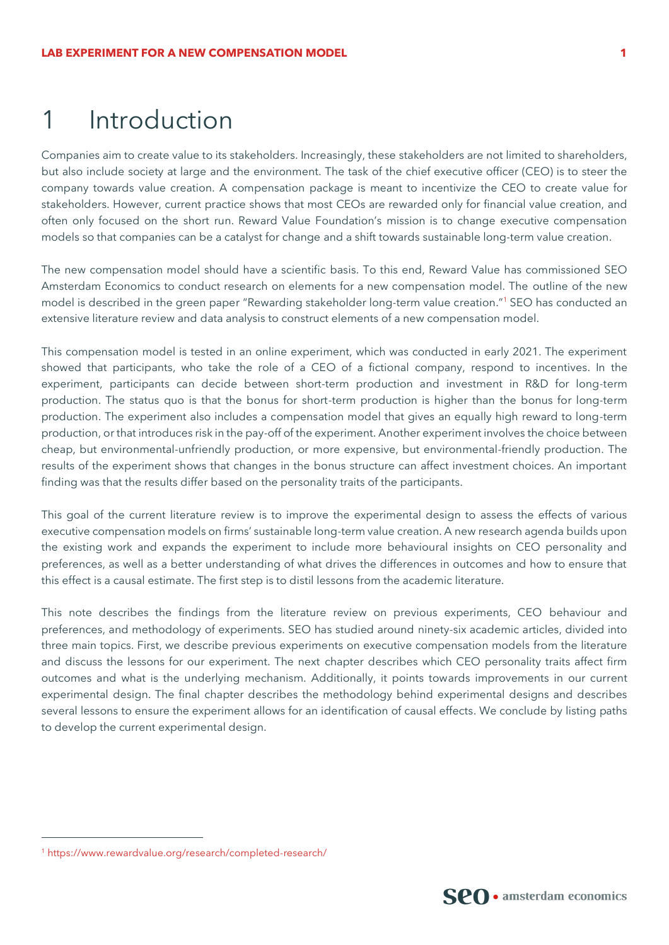## 1 Introduction

Companies aim to create value to its stakeholders. Increasingly, these stakeholders are not limited to shareholders, but also include society at large and the environment. The task of the chief executive officer (CEO) is to steer the company towards value creation. A compensation package is meant to incentivize the CEO to create value for stakeholders. However, current practice shows that most CEOs are rewarded only for financial value creation, and often only focused on the short run. Reward Value Foundation's mission is to change executive compensation models so that companies can be a catalyst for change and a shift towards sustainable long-term value creation.

The new compensation model should have a scientific basis. To this end, Reward Value has commissioned SEO Amsterdam Economics to conduct research on elements for a new compensation model. The outline of the new model is described in the green paper "Rewarding stakeholder long-term value creation."<sup>1</sup> SEO has conducted an extensive literature review and data analysis to construct elements of a new compensation model.

This compensation model is tested in an online experiment, which was conducted in early 2021. The experiment showed that participants, who take the role of a CEO of a fictional company, respond to incentives. In the experiment, participants can decide between short-term production and investment in R&D for long-term production. The status quo is that the bonus for short-term production is higher than the bonus for long-term production. The experiment also includes a compensation model that gives an equally high reward to long-term production, or that introduces risk in the pay-off of the experiment. Another experiment involves the choice between cheap, but environmental-unfriendly production, or more expensive, but environmental-friendly production. The results of the experiment shows that changes in the bonus structure can affect investment choices. An important finding was that the results differ based on the personality traits of the participants.

This goal of the current literature review is to improve the experimental design to assess the effects of various executive compensation models on firms' sustainable long-term value creation. A new research agenda builds upon the existing work and expands the experiment to include more behavioural insights on CEO personality and preferences, as well as a better understanding of what drives the differences in outcomes and how to ensure that this effect is a causal estimate. The first step is to distil lessons from the academic literature.

This note describes the findings from the literature review on previous experiments, CEO behaviour and preferences, and methodology of experiments. SEO has studied around ninety-six academic articles, divided into three main topics. First, we describe previous experiments on executive compensation models from the literature and discuss the lessons for our experiment. The next chapter describes which CEO personality traits affect firm outcomes and what is the underlying mechanism. Additionally, it points towards improvements in our current experimental design. The final chapter describes the methodology behind experimental designs and describes several lessons to ensure the experiment allows for an identification of causal effects. We conclude by listing paths to develop the current experimental design.



<sup>1</sup> <https://www.rewardvalue.org/research/completed-research/>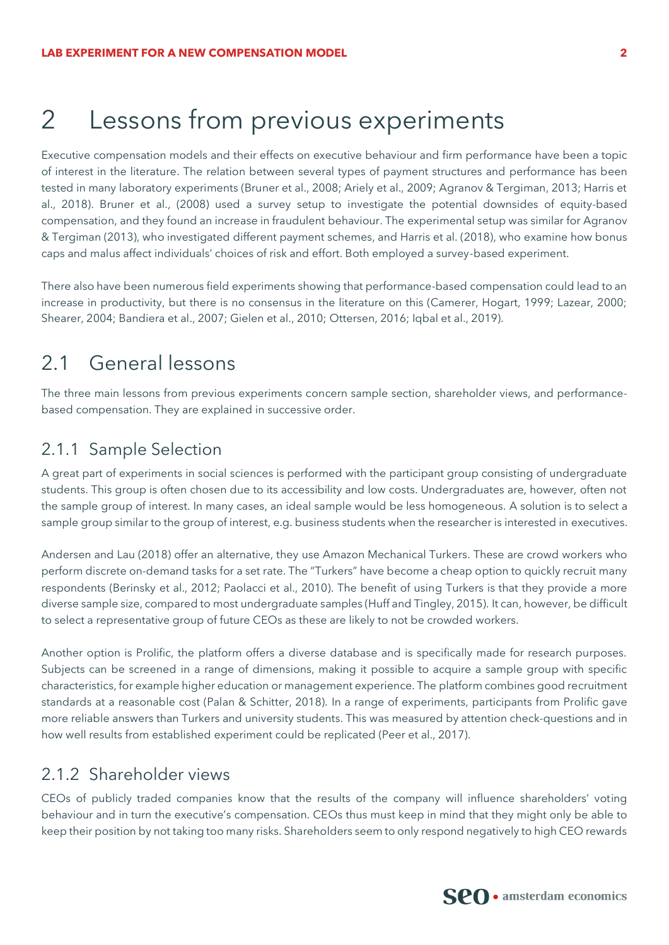## 2 Lessons from previous experiments

Executive compensation models and their effects on executive behaviour and firm performance have been a topic of interest in the literature. The relation between several types of payment structures and performance has been tested in many laboratory experiments (Bruner et al., 2008; Ariely et al., 2009; Agranov & Tergiman, 2013; Harris et al., 2018). Bruner et al., (2008) used a survey setup to investigate the potential downsides of equity-based compensation, and they found an increase in fraudulent behaviour. The experimental setup was similar for Agranov & Tergiman (2013), who investigated different payment schemes, and Harris et al. (2018), who examine how bonus caps and malus affect individuals' choices of risk and effort. Both employed a survey-based experiment.

There also have been numerous field experiments showing that performance-based compensation could lead to an increase in productivity, but there is no consensus in the literature on this (Camerer, Hogart, 1999; Lazear, 2000; Shearer, 2004; Bandiera et al., 2007; Gielen et al., 2010; Ottersen, 2016; Iqbal et al., 2019).

## 2.1 General lessons

The three main lessons from previous experiments concern sample section, shareholder views, and performancebased compensation. They are explained in successive order.

### 2.1.1 Sample Selection

A great part of experiments in social sciences is performed with the participant group consisting of undergraduate students. This group is often chosen due to its accessibility and low costs. Undergraduates are, however, often not the sample group of interest. In many cases, an ideal sample would be less homogeneous. A solution is to select a sample group similar to the group of interest, e.g. business students when the researcher is interested in executives.

Andersen and Lau (2018) offer an alternative, they use Amazon Mechanical Turkers. These are crowd workers who perform discrete on-demand tasks for a set rate. The "Turkers" have become a cheap option to quickly recruit many respondents (Berinsky et al., 2012; Paolacci et al., 2010). The benefit of using Turkers is that they provide a more diverse sample size, compared to most undergraduate samples (Huff and Tingley, 2015). It can, however, be difficult to select a representative group of future CEOs as these are likely to not be crowded workers.

Another option is Prolific, the platform offers a diverse database and is specifically made for research purposes. Subjects can be screened in a range of dimensions, making it possible to acquire a sample group with specific characteristics, for example higher education or management experience. The platform combines good recruitment standards at a reasonable cost (Palan & Schitter, 2018). In a range of experiments, participants from Prolific gave more reliable answers than Turkers and university students. This was measured by attention check-questions and in how well results from established experiment could be replicated (Peer et al., 2017).

### 2.1.2 Shareholder views

CEOs of publicly traded companies know that the results of the company will influence shareholders' voting behaviour and in turn the executive's compensation. CEOs thus must keep in mind that they might only be able to keep their position by not taking too many risks. Shareholders seem to only respond negatively to high CEO rewards

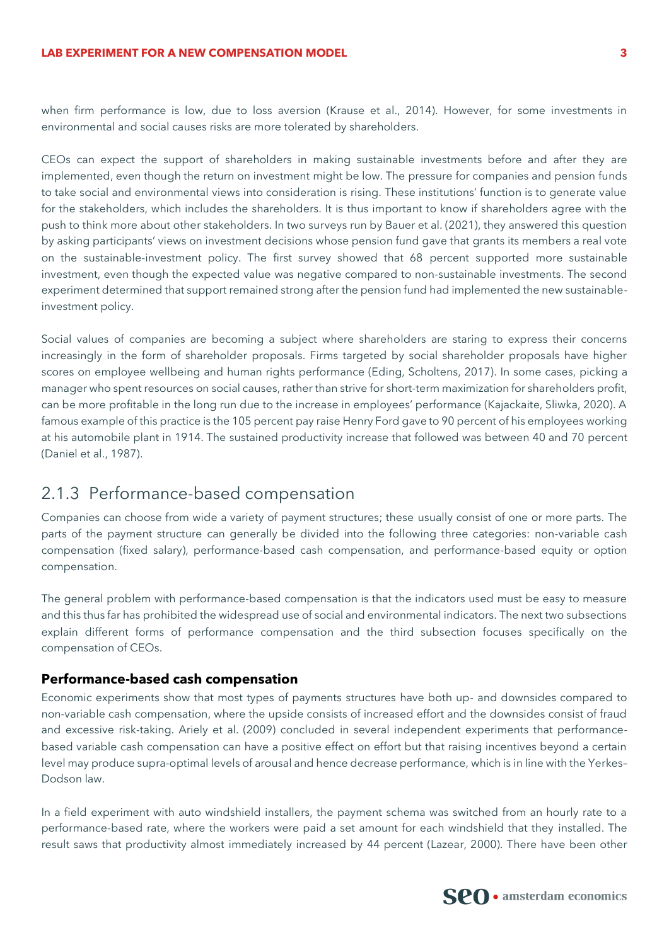#### **LAB EXPERIMENT FOR A NEW COMPENSATION MODEL 3**

when firm performance is low, due to loss aversion (Krause et al., 2014). However, for some investments in environmental and social causes risks are more tolerated by shareholders.

CEOs can expect the support of shareholders in making sustainable investments before and after they are implemented, even though the return on investment might be low. The pressure for companies and pension funds to take social and environmental views into consideration is rising. These institutions' function is to generate value for the stakeholders, which includes the shareholders. It is thus important to know if shareholders agree with the push to think more about other stakeholders. In two surveys run by Bauer et al. (2021), they answered this question by asking participants' views on investment decisions whose pension fund gave that grants its members a real vote on the sustainable-investment policy. The first survey showed that 68 percent supported more sustainable investment, even though the expected value was negative compared to non-sustainable investments. The second experiment determined that support remained strong after the pension fund had implemented the new sustainableinvestment policy.

Social values of companies are becoming a subject where shareholders are staring to express their concerns increasingly in the form of shareholder proposals. Firms targeted by social shareholder proposals have higher scores on employee wellbeing and human rights performance (Eding, Scholtens, 2017). In some cases, picking a manager who spent resources on social causes, rather than strive for short-term maximization for shareholders profit, can be more profitable in the long run due to the increase in employees' performance (Kajackaite, Sliwka, 2020). A famous example of this practice is the 105 percent pay raise Henry Ford gave to 90 percent of his employees working at his automobile plant in 1914. The sustained productivity increase that followed was between 40 and 70 percent (Daniel et al., 1987).

## 2.1.3 Performance-based compensation

Companies can choose from wide a variety of payment structures; these usually consist of one or more parts. The parts of the payment structure can generally be divided into the following three categories: non-variable cash compensation (fixed salary), performance-based cash compensation, and performance-based equity or option compensation.

The general problem with performance-based compensation is that the indicators used must be easy to measure and this thus far has prohibited the widespread use of social and environmental indicators. The next two subsections explain different forms of performance compensation and the third subsection focuses specifically on the compensation of CEOs.

#### **Performance-based cash compensation**

Economic experiments show that most types of payments structures have both up- and downsides compared to non-variable cash compensation, where the upside consists of increased effort and the downsides consist of fraud and excessive risk-taking. Ariely et al. (2009) concluded in several independent experiments that performancebased variable cash compensation can have a positive effect on effort but that raising incentives beyond a certain level may produce supra-optimal levels of arousal and hence decrease performance, which is in line with the Yerkes– Dodson law.

In a field experiment with auto windshield installers, the payment schema was switched from an hourly rate to a performance-based rate, where the workers were paid a set amount for each windshield that they installed. The result saws that productivity almost immediately increased by 44 percent (Lazear, 2000). There have been other

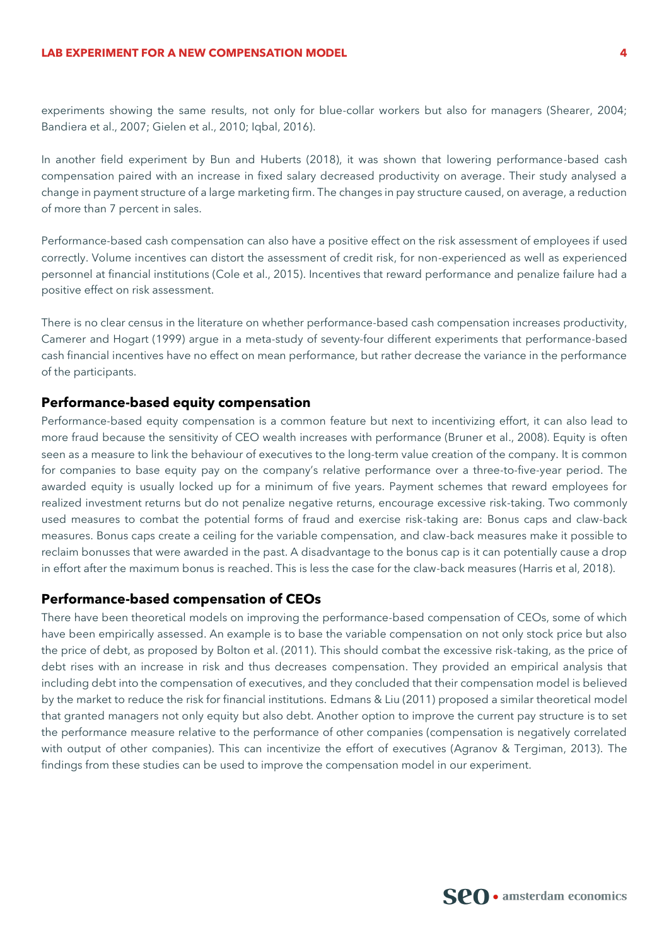experiments showing the same results, not only for blue-collar workers but also for managers (Shearer, 2004; Bandiera et al., 2007; Gielen et al., 2010; Iqbal, 2016).

In another field experiment by Bun and Huberts (2018), it was shown that lowering performance-based cash compensation paired with an increase in fixed salary decreased productivity on average. Their study analysed a change in payment structure of a large marketing firm. The changes in pay structure caused, on average, a reduction of more than 7 percent in sales.

Performance-based cash compensation can also have a positive effect on the risk assessment of employees if used correctly. Volume incentives can distort the assessment of credit risk, for non-experienced as well as experienced personnel at financial institutions (Cole et al., 2015). Incentives that reward performance and penalize failure had a positive effect on risk assessment.

There is no clear census in the literature on whether performance-based cash compensation increases productivity, Camerer and Hogart (1999) argue in a meta-study of seventy-four different experiments that performance-based cash financial incentives have no effect on mean performance, but rather decrease the variance in the performance of the participants.

#### **Performance-based equity compensation**

Performance-based equity compensation is a common feature but next to incentivizing effort, it can also lead to more fraud because the sensitivity of CEO wealth increases with performance (Bruner et al., 2008). Equity is often seen as a measure to link the behaviour of executives to the long-term value creation of the company. It is common for companies to base equity pay on the company's relative performance over a three-to-five-year period. The awarded equity is usually locked up for a minimum of five years. Payment schemes that reward employees for realized investment returns but do not penalize negative returns, encourage excessive risk-taking. Two commonly used measures to combat the potential forms of fraud and exercise risk-taking are: Bonus caps and claw-back measures. Bonus caps create a ceiling for the variable compensation, and claw-back measures make it possible to reclaim bonusses that were awarded in the past. A disadvantage to the bonus cap is it can potentially cause a drop in effort after the maximum bonus is reached. This is less the case for the claw-back measures (Harris et al, 2018).

#### **Performance-based compensation of CEOs**

There have been theoretical models on improving the performance-based compensation of CEOs, some of which have been empirically assessed. An example is to base the variable compensation on not only stock price but also the price of debt, as proposed by Bolton et al. (2011). This should combat the excessive risk-taking, as the price of debt rises with an increase in risk and thus decreases compensation. They provided an empirical analysis that including debt into the compensation of executives, and they concluded that their compensation model is believed by the market to reduce the risk for financial institutions. Edmans & Liu (2011) proposed a similar theoretical model that granted managers not only equity but also debt. Another option to improve the current pay structure is to set the performance measure relative to the performance of other companies (compensation is negatively correlated with output of other companies). This can incentivize the effort of executives (Agranov & Tergiman, 2013). The findings from these studies can be used to improve the compensation model in our experiment.

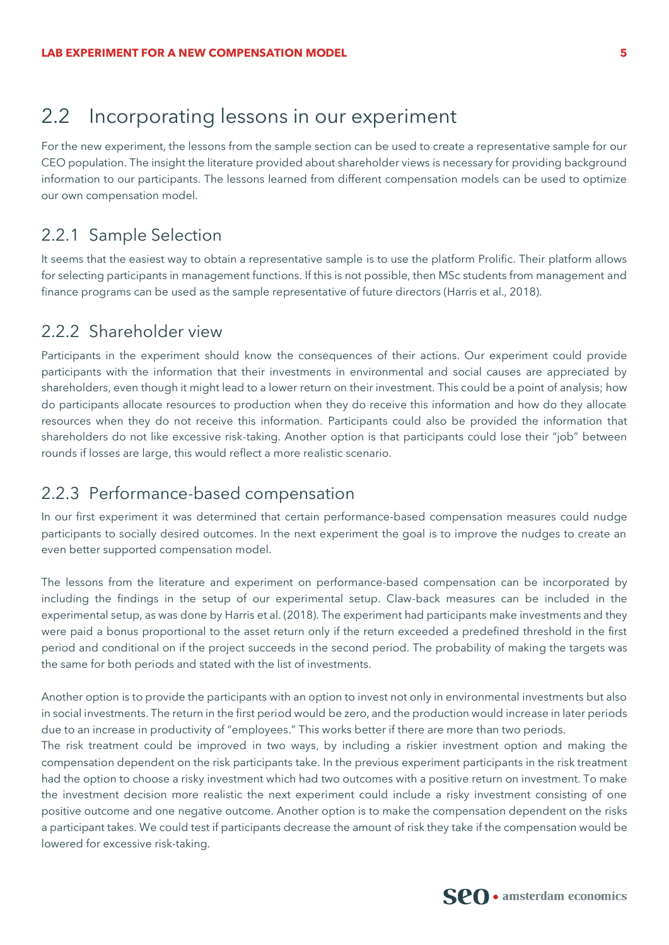## 2.2 Incorporating lessons in our experiment

For the new experiment, the lessons from the sample section can be used to create a representative sample for our CEO population. The insight the literature provided about shareholder views is necessary for providing background information to our participants. The lessons learned from different compensation models can be used to optimize our own compensation model.

### 2.2.1 Sample Selection

It seems that the easiest way to obtain a representative sample is to use the platform Prolific. Their platform allows for selecting participants in management functions. If this is not possible, then MSc students from management and finance programs can be used as the sample representative of future directors (Harris et al., 2018).

#### 2.2.2 Shareholder view

Participants in the experiment should know the consequences of their actions. Our experiment could provide participants with the information that their investments in environmental and social causes are appreciated by shareholders, even though it might lead to a lower return on their investment. This could be a point of analysis; how do participants allocate resources to production when they do receive this information and how do they allocate resources when they do not receive this information. Participants could also be provided the information that shareholders do not like excessive risk-taking. Another option is that participants could lose their "job" between rounds if losses are large, this would reflect a more realistic scenario.

### 2.2.3 Performance-based compensation

In our first experiment it was determined that certain performance-based compensation measures could nudge participants to socially desired outcomes. In the next experiment the goal is to improve the nudges to create an even better supported compensation model.

The lessons from the literature and experiment on performance-based compensation can be incorporated by including the findings in the setup of our experimental setup. Claw-back measures can be included in the experimental setup, as was done by Harris et al. (2018). The experiment had participants make investments and they were paid a bonus proportional to the asset return only if the return exceeded a predefined threshold in the first period and conditional on if the project succeeds in the second period. The probability of making the targets was the same for both periods and stated with the list of investments.

Another option is to provide the participants with an option to invest not only in environmental investments but also in social investments. The return in the first period would be zero, and the production would increase in later periods due to an increase in productivity of "employees." This works better if there are more than two periods.

The risk treatment could be improved in two ways, by including a riskier investment option and making the compensation dependent on the risk participants take. In the previous experiment participants in the risk treatment had the option to choose a risky investment which had two outcomes with a positive return on investment. To make the investment decision more realistic the next experiment could include a risky investment consisting of one positive outcome and one negative outcome. Another option is to make the compensation dependent on the risks a participant takes. We could test if participants decrease the amount of risk they take if the compensation would be lowered for excessive risk-taking.

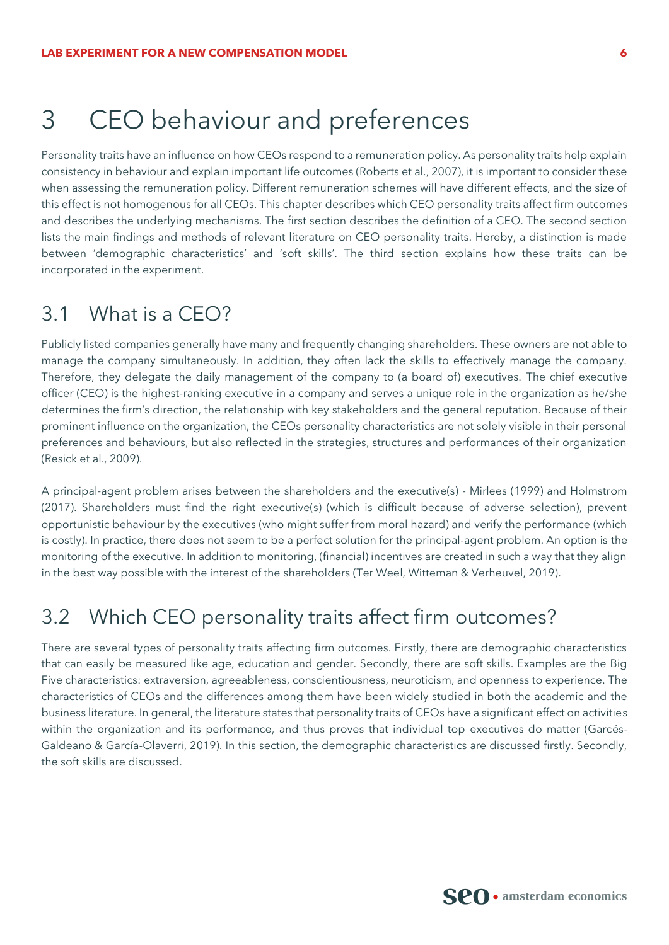## 3 CEO behaviour and preferences

Personality traits have an influence on how CEOs respond to a remuneration policy. As personality traits help explain consistency in behaviour and explain important life outcomes (Roberts et al., 2007), it is important to consider these when assessing the remuneration policy. Different remuneration schemes will have different effects, and the size of this effect is not homogenous for all CEOs. This chapter describes which CEO personality traits affect firm outcomes and describes the underlying mechanisms. The first section describes the definition of a CEO. The second section lists the main findings and methods of relevant literature on CEO personality traits. Hereby, a distinction is made between 'demographic characteristics' and 'soft skills'. The third section explains how these traits can be incorporated in the experiment.

## 3.1 What is a CEO?

Publicly listed companies generally have many and frequently changing shareholders. These owners are not able to manage the company simultaneously. In addition, they often lack the skills to effectively manage the company. Therefore, they delegate the daily management of the company to (a board of) executives. The chief executive officer (CEO) is the highest-ranking executive in a company and serves a unique role in the organization as he/she determines the firm's direction, the relationship with key stakeholders and the general reputation. Because of their prominent influence on the organization, the CEOs personality characteristics are not solely visible in their personal preferences and behaviours, but also reflected in the strategies, structures and performances of their organization (Resick et al., 2009).

A principal-agent problem arises between the shareholders and the executive(s) - Mirlees (1999) and Holmstrom (2017). Shareholders must find the right executive(s) (which is difficult because of adverse selection), prevent opportunistic behaviour by the executives (who might suffer from moral hazard) and verify the performance (which is costly). In practice, there does not seem to be a perfect solution for the principal-agent problem. An option is the monitoring of the executive. In addition to monitoring, (financial) incentives are created in such a way that they align in the best way possible with the interest of the shareholders (Ter Weel, Witteman & Verheuvel, 2019).

## 3.2 Which CEO personality traits affect firm outcomes?

There are several types of personality traits affecting firm outcomes. Firstly, there are demographic characteristics that can easily be measured like age, education and gender. Secondly, there are soft skills. Examples are the Big Five characteristics: extraversion, agreeableness, conscientiousness, neuroticism, and openness to experience. The characteristics of CEOs and the differences among them have been widely studied in both the academic and the business literature. In general, the literature states that personality traits of CEOs have a significant effect on activities within the organization and its performance, and thus proves that individual top executives do matter (Garcés-Galdeano & García-Olaverri, 2019). In this section, the demographic characteristics are discussed firstly. Secondly, the soft skills are discussed.

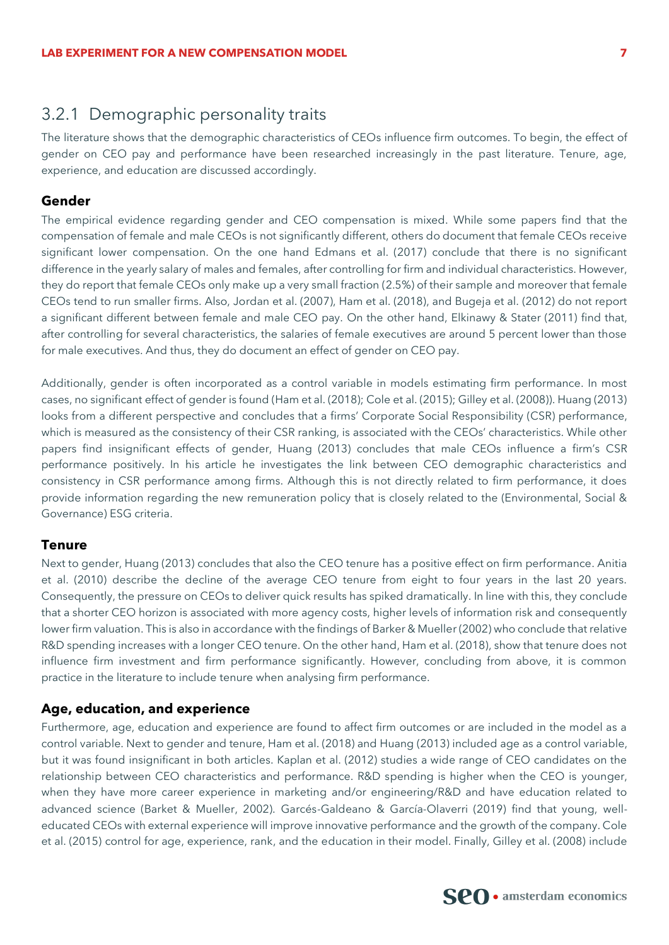#### 3.2.1 Demographic personality traits

The literature shows that the demographic characteristics of CEOs influence firm outcomes. To begin, the effect of gender on CEO pay and performance have been researched increasingly in the past literature. Tenure, age, experience, and education are discussed accordingly.

#### **Gender**

The empirical evidence regarding gender and CEO compensation is mixed. While some papers find that the compensation of female and male CEOs is not significantly different, others do document that female CEOs receive significant lower compensation. On the one hand Edmans et al. (2017) conclude that there is no significant difference in the yearly salary of males and females, after controlling for firm and individual characteristics. However, they do report that female CEOs only make up a very small fraction (2.5%) of their sample and moreover that female CEOs tend to run smaller firms. Also, Jordan et al. (2007), Ham et al. (2018), and Bugeja et al. (2012) do not report a significant different between female and male CEO pay. On the other hand, Elkinawy & Stater (2011) find that, after controlling for several characteristics, the salaries of female executives are around 5 percent lower than those for male executives. And thus, they do document an effect of gender on CEO pay.

Additionally, gender is often incorporated as a control variable in models estimating firm performance. In most cases, no significant effect of gender is found (Ham et al. (2018); Cole et al. (2015); Gilley et al. (2008)). Huang (2013) looks from a different perspective and concludes that a firms' Corporate Social Responsibility (CSR) performance, which is measured as the consistency of their CSR ranking, is associated with the CEOs' characteristics. While other papers find insignificant effects of gender, Huang (2013) concludes that male CEOs influence a firm's CSR performance positively. In his article he investigates the link between CEO demographic characteristics and consistency in CSR performance among firms. Although this is not directly related to firm performance, it does provide information regarding the new remuneration policy that is closely related to the (Environmental, Social & Governance) ESG criteria.

#### **Tenure**

Next to gender, Huang (2013) concludes that also the CEO tenure has a positive effect on firm performance. Anitia et al. (2010) describe the decline of the average CEO tenure from eight to four years in the last 20 years. Consequently, the pressure on CEOs to deliver quick results has spiked dramatically. In line with this, they conclude that a shorter CEO horizon is associated with more agency costs, higher levels of information risk and consequently lower firm valuation. This is also in accordance with the findings of Barker & Mueller (2002) who conclude that relative R&D spending increases with a longer CEO tenure. On the other hand, Ham et al. (2018), show that tenure does not influence firm investment and firm performance significantly. However, concluding from above, it is common practice in the literature to include tenure when analysing firm performance.

#### **Age, education, and experience**

Furthermore, age, education and experience are found to affect firm outcomes or are included in the model as a control variable. Next to gender and tenure, Ham et al. (2018) and Huang (2013) included age as a control variable, but it was found insignificant in both articles. Kaplan et al. (2012) studies a wide range of CEO candidates on the relationship between CEO characteristics and performance. R&D spending is higher when the CEO is younger, when they have more career experience in marketing and/or engineering/R&D and have education related to advanced science (Barket & Mueller, 2002). Garcés-Galdeano & García-Olaverri (2019) find that young, welleducated CEOs with external experience will improve innovative performance and the growth of the company. Cole et al. (2015) control for age, experience, rank, and the education in their model. Finally, Gilley et al. (2008) include

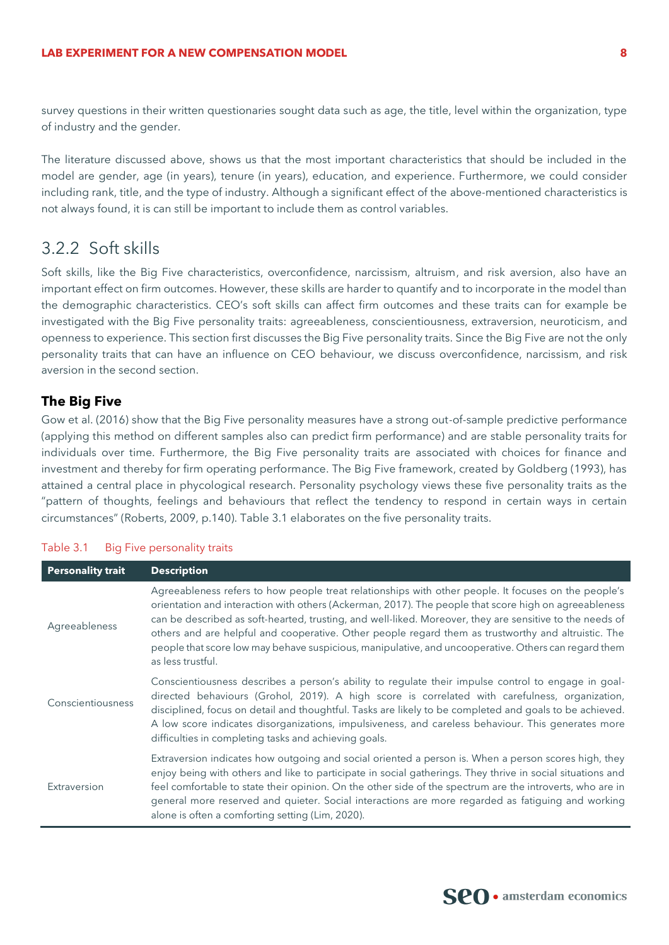survey questions in their written questionaries sought data such as age, the title, level within the organization, type of industry and the gender.

The literature discussed above, shows us that the most important characteristics that should be included in the model are gender, age (in years), tenure (in years), education, and experience. Furthermore, we could consider including rank, title, and the type of industry. Although a significant effect of the above-mentioned characteristics is not always found, it is can still be important to include them as control variables.

#### 3.2.2 Soft skills

Soft skills, like the Big Five characteristics, overconfidence, narcissism, altruism, and risk aversion, also have an important effect on firm outcomes. However, these skills are harder to quantify and to incorporate in the model than the demographic characteristics. CEO's soft skills can affect firm outcomes and these traits can for example be investigated with the Big Five personality traits: agreeableness, conscientiousness, extraversion, neuroticism, and openness to experience. This section first discusses the Big Five personality traits. Since the Big Five are not the only personality traits that can have an influence on CEO behaviour, we discuss overconfidence, narcissism, and risk aversion in the second section.

#### **The Big Five**

Gow et al. (2016) show that the Big Five personality measures have a strong out-of-sample predictive performance (applying this method on different samples also can predict firm performance) and are stable personality traits for individuals over time. Furthermore, the Big Five personality traits are associated with choices for finance and investment and thereby for firm operating performance. The Big Five framework, created by Goldberg (1993), has attained a central place in phycological research. Personality psychology views these five personality traits as the "pattern of thoughts, feelings and behaviours that reflect the tendency to respond in certain ways in certain circumstances" (Roberts, 2009, p.140). [Table 3.1](#page-8-0) elaborates on the five personality traits.

| <b>Personality trait</b> | <b>Description</b>                                                                                                                                                                                                                                                                                                                                                                                                                                                                                                                                            |
|--------------------------|---------------------------------------------------------------------------------------------------------------------------------------------------------------------------------------------------------------------------------------------------------------------------------------------------------------------------------------------------------------------------------------------------------------------------------------------------------------------------------------------------------------------------------------------------------------|
| Agreeableness            | Agreeableness refers to how people treat relationships with other people. It focuses on the people's<br>orientation and interaction with others (Ackerman, 2017). The people that score high on agreeableness<br>can be described as soft-hearted, trusting, and well-liked. Moreover, they are sensitive to the needs of<br>others and are helpful and cooperative. Other people regard them as trustworthy and altruistic. The<br>people that score low may behave suspicious, manipulative, and uncooperative. Others can regard them<br>as less trustful. |
| Conscientiousness        | Conscientiousness describes a person's ability to regulate their impulse control to engage in goal-<br>directed behaviours (Grohol, 2019). A high score is correlated with carefulness, organization,<br>disciplined, focus on detail and thoughtful. Tasks are likely to be completed and goals to be achieved.<br>A low score indicates disorganizations, impulsiveness, and careless behaviour. This generates more<br>difficulties in completing tasks and achieving goals.                                                                               |
| Extraversion             | Extraversion indicates how outgoing and social oriented a person is. When a person scores high, they<br>enjoy being with others and like to participate in social gatherings. They thrive in social situations and<br>feel comfortable to state their opinion. On the other side of the spectrum are the introverts, who are in<br>general more reserved and quieter. Social interactions are more regarded as fatiguing and working<br>alone is often a comforting setting (Lim, 2020).                                                                      |

#### <span id="page-8-0"></span>Table 3.1 Big Five personality traits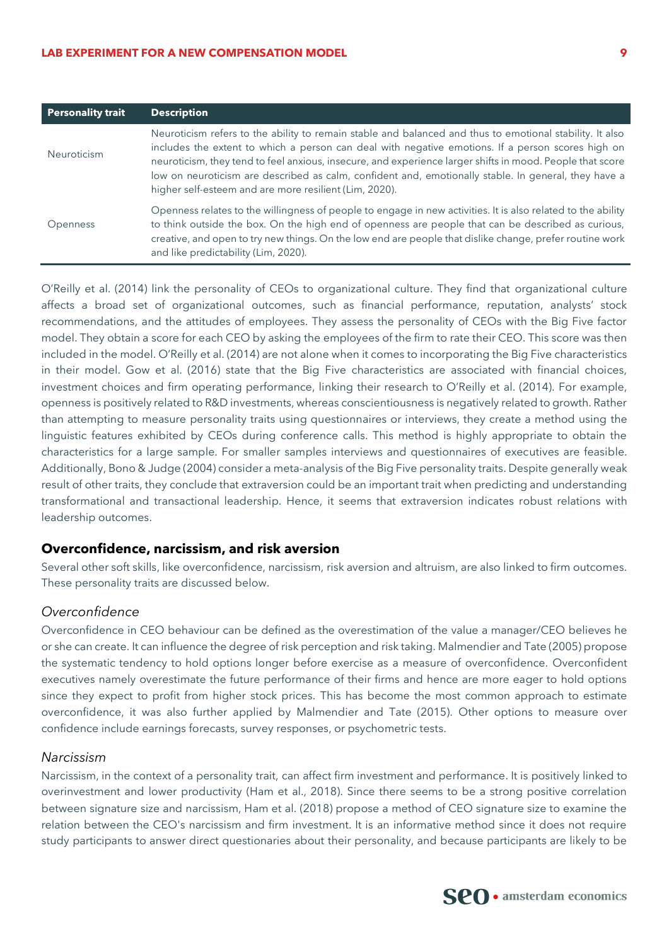#### **LAB EXPERIMENT FOR A NEW COMPENSATION MODEL 9**

| <b>Personality trait</b> | <b>Description</b>                                                                                                                                                                                                                                                                                                                                                                                                                                                                           |  |
|--------------------------|----------------------------------------------------------------------------------------------------------------------------------------------------------------------------------------------------------------------------------------------------------------------------------------------------------------------------------------------------------------------------------------------------------------------------------------------------------------------------------------------|--|
| <b>Neuroticism</b>       | Neuroticism refers to the ability to remain stable and balanced and thus to emotional stability. It also<br>includes the extent to which a person can deal with negative emotions. If a person scores high on<br>neuroticism, they tend to feel anxious, insecure, and experience larger shifts in mood. People that score<br>low on neuroticism are described as calm, confident and, emotionally stable. In general, they have a<br>higher self-esteem and are more resilient (Lim, 2020). |  |
| Openness                 | Openness relates to the willingness of people to engage in new activities. It is also related to the ability<br>to think outside the box. On the high end of openness are people that can be described as curious,<br>creative, and open to try new things. On the low end are people that dislike change, prefer routine work<br>and like predictability (Lim, 2020).                                                                                                                       |  |

O'Reilly et al. (2014) link the personality of CEOs to organizational culture. They find that organizational culture affects a broad set of organizational outcomes, such as financial performance, reputation, analysts' stock recommendations, and the attitudes of employees. They assess the personality of CEOs with the Big Five factor model. They obtain a score for each CEO by asking the employees of the firm to rate their CEO. This score was then included in the model. O'Reilly et al. (2014) are not alone when it comes to incorporating the Big Five characteristics in their model. Gow et al. (2016) state that the Big Five characteristics are associated with financial choices, investment choices and firm operating performance, linking their research to O'Reilly et al. (2014). For example, openness is positively related to R&D investments, whereas conscientiousness is negatively related to growth. Rather than attempting to measure personality traits using questionnaires or interviews, they create a method using the linguistic features exhibited by CEOs during conference calls. This method is highly appropriate to obtain the characteristics for a large sample. For smaller samples interviews and questionnaires of executives are feasible. Additionally, Bono & Judge (2004) consider a meta-analysis of the Big Five personality traits. Despite generally weak result of other traits, they conclude that extraversion could be an important trait when predicting and understanding transformational and transactional leadership. Hence, it seems that extraversion indicates robust relations with leadership outcomes.

#### **Overconfidence, narcissism, and risk aversion**

Several other soft skills, like overconfidence, narcissism, risk aversion and altruism, are also linked to firm outcomes. These personality traits are discussed below.

#### *Overconfidence*

Overconfidence in CEO behaviour can be defined as the overestimation of the value a manager/CEO believes he or she can create. It can influence the degree of risk perception and risk taking. Malmendier and Tate (2005) propose the systematic tendency to hold options longer before exercise as a measure of overconfidence. Overconfident executives namely overestimate the future performance of their firms and hence are more eager to hold options since they expect to profit from higher stock prices. This has become the most common approach to estimate overconfidence, it was also further applied by Malmendier and Tate (2015). Other options to measure over confidence include earnings forecasts, survey responses, or psychometric tests.

#### *Narcissism*

Narcissism, in the context of a personality trait, can affect firm investment and performance. It is positively linked to overinvestment and lower productivity (Ham et al., 2018). Since there seems to be a strong positive correlation between signature size and narcissism, Ham et al. (2018) propose a method of CEO signature size to examine the relation between the CEO's narcissism and firm investment. It is an informative method since it does not require study participants to answer direct questionaries about their personality, and because participants are likely to be

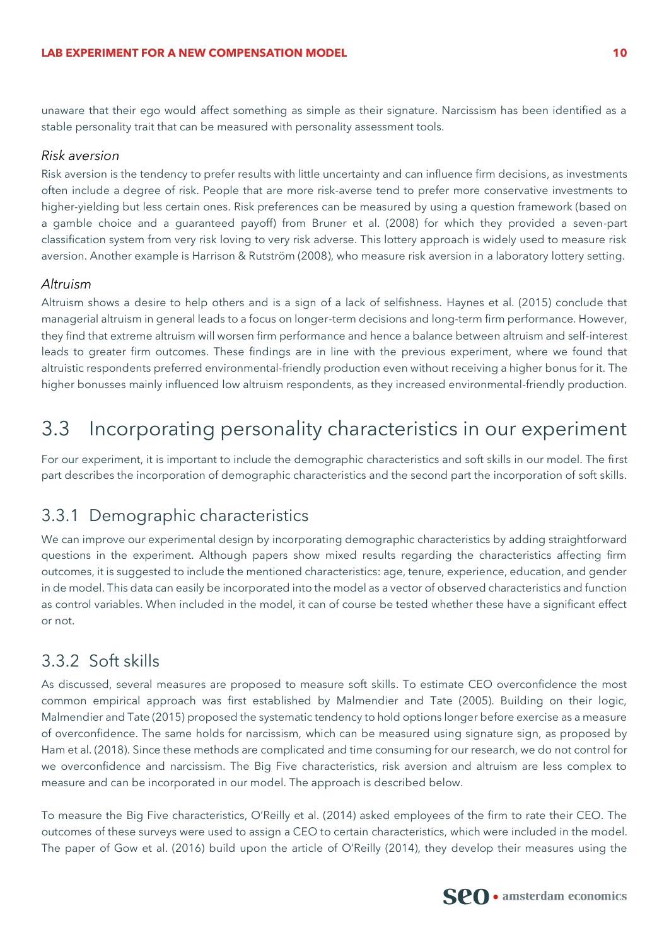unaware that their ego would affect something as simple as their signature. Narcissism has been identified as a stable personality trait that can be measured with personality assessment tools.

#### *Risk aversion*

Risk aversion is the tendency to prefer results with little uncertainty and can influence firm decisions, as investments often include a degree of risk. People that are more risk-averse tend to prefer more conservative investments to higher-yielding but less certain ones. Risk preferences can be measured by using a question framework (based on a gamble choice and a guaranteed payoff) from Bruner et al. (2008) for which they provided a seven-part classification system from very risk loving to very risk adverse. This lottery approach is widely used to measure risk aversion. Another example is Harrison & Rutström (2008), who measure risk aversion in a laboratory lottery setting.

#### *Altruism*

Altruism shows a desire to help others and is a sign of a lack of selfishness. Haynes et al. (2015) conclude that managerial altruism in general leads to a focus on longer-term decisions and long-term firm performance. However, they find that extreme altruism will worsen firm performance and hence a balance between altruism and self-interest leads to greater firm outcomes. These findings are in line with the previous experiment, where we found that altruistic respondents preferred environmental-friendly production even without receiving a higher bonus for it. The higher bonusses mainly influenced low altruism respondents, as they increased environmental-friendly production.

## 3.3 Incorporating personality characteristics in our experiment

For our experiment, it is important to include the demographic characteristics and soft skills in our model. The first part describes the incorporation of demographic characteristics and the second part the incorporation of soft skills.

### 3.3.1 Demographic characteristics

We can improve our experimental design by incorporating demographic characteristics by adding straightforward questions in the experiment. Although papers show mixed results regarding the characteristics affecting firm outcomes, it is suggested to include the mentioned characteristics: age, tenure, experience, education, and gender in de model. This data can easily be incorporated into the model as a vector of observed characteristics and function as control variables. When included in the model, it can of course be tested whether these have a significant effect or not.

### 3.3.2 Soft skills

As discussed, several measures are proposed to measure soft skills. To estimate CEO overconfidence the most common empirical approach was first established by Malmendier and Tate (2005). Building on their logic, Malmendier and Tate (2015) proposed the systematic tendency to hold options longer before exercise as a measure of overconfidence. The same holds for narcissism, which can be measured using signature sign, as proposed by Ham et al. (2018). Since these methods are complicated and time consuming for our research, we do not control for we overconfidence and narcissism. The Big Five characteristics, risk aversion and altruism are less complex to measure and can be incorporated in our model. The approach is described below.

To measure the Big Five characteristics, O'Reilly et al. (2014) asked employees of the firm to rate their CEO. The outcomes of these surveys were used to assign a CEO to certain characteristics, which were included in the model. The paper of Gow et al. (2016) build upon the article of O'Reilly (2014), they develop their measures using the

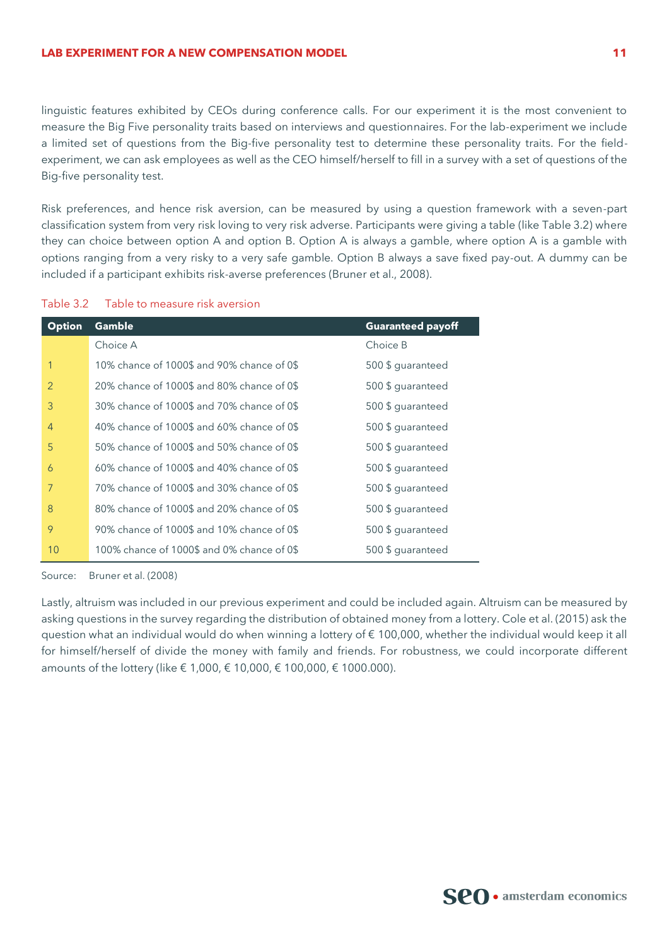linguistic features exhibited by CEOs during conference calls. For our experiment it is the most convenient to measure the Big Five personality traits based on interviews and questionnaires. For the lab-experiment we include a limited set of questions from the Big-five personality test to determine these personality traits. For the fieldexperiment, we can ask employees as well as the CEO himself/herself to fill in a survey with a set of questions of the Big-five personality test.

Risk preferences, and hence risk aversion, can be measured by using a question framework with a seven-part classification system from very risk loving to very risk adverse. Participants were giving a table (like [Table 3.2\)](#page-11-0) where they can choice between option A and option B. Option A is always a gamble, where option A is a gamble with options ranging from a very risky to a very safe gamble. Option B always a save fixed pay-out. A dummy can be included if a participant exhibits risk-averse preferences (Bruner et al., 2008).

<span id="page-11-0"></span>

| Table 3.2 |  | Table to measure risk aversion |  |
|-----------|--|--------------------------------|--|
|           |  |                                |  |

| <b>Option</b> | Gamble                                     | <b>Guaranteed payoff</b> |
|---------------|--------------------------------------------|--------------------------|
|               | Choice A                                   | Choice B                 |
|               | 10% chance of 1000\$ and 90% chance of 0\$ | 500 \$ quaranteed        |
| 2             | 20% chance of 1000\$ and 80% chance of 0\$ | 500 \$ guaranteed        |
| 3             | 30% chance of 1000\$ and 70% chance of 0\$ | 500 \$ guaranteed        |
| 4             | 40% chance of 1000\$ and 60% chance of 0\$ | 500 \$ guaranteed        |
| 5             | 50% chance of 1000\$ and 50% chance of 0\$ | 500 \$ guaranteed        |
| 6             | 60% chance of 1000\$ and 40% chance of 0\$ | 500 \$ guaranteed        |
| 7             | 70% chance of 1000\$ and 30% chance of 0\$ | 500 \$ guaranteed        |
| 8             | 80% chance of 1000\$ and 20% chance of 0\$ | 500 \$ quaranteed        |
| 9             | 90% chance of 1000\$ and 10% chance of 0\$ | 500 \$ quaranteed        |
| 10            | 100% chance of 1000\$ and 0% chance of 0\$ | 500 \$ guaranteed        |

Source: Bruner et al. (2008)

Lastly, altruism was included in our previous experiment and could be included again. Altruism can be measured by asking questions in the survey regarding the distribution of obtained money from a lottery. Cole et al. (2015) ask the question what an individual would do when winning a lottery of € 100,000, whether the individual would keep it all for himself/herself of divide the money with family and friends. For robustness, we could incorporate different amounts of the lottery (like € 1,000, € 10,000, € 100,000, € 1000.000).

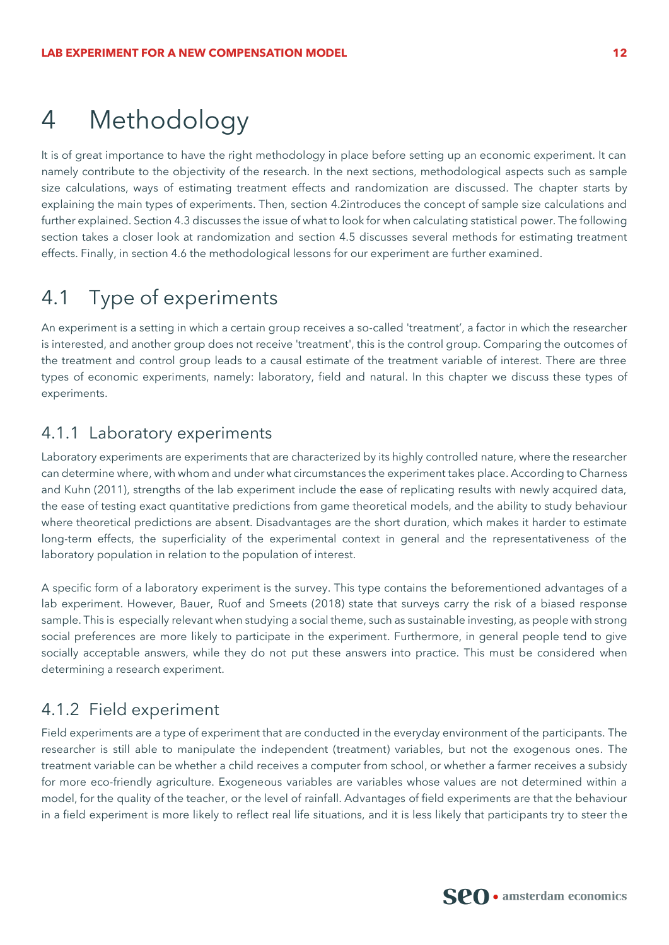## 4 Methodology

It is of great importance to have the right methodology in place before setting up an economic experiment. It can namely contribute to the objectivity of the research. In the next sections, methodological aspects such as sample size calculations, ways of estimating treatment effects and randomization are discussed. The chapter starts by explaining the main types of experiments. Then, section [4.2i](#page-13-0)ntroduces the concept of sample size calculations and further explained. Sectio[n 4.3](#page-15-0) discusses the issue of what to look for when calculating statistical power. The following section takes a closer look at randomization and section [4.5](#page-17-0) discusses several methods for estimating treatment effects. Finally, in section [4.6](#page-18-0) the methodological lessons for our experiment are further examined.

## 4.1 Type of experiments

An experiment is a setting in which a certain group receives a so-called 'treatment', a factor in which the researcher is interested, and another group does not receive 'treatment', this is the control group. Comparing the outcomes of the treatment and control group leads to a causal estimate of the treatment variable of interest. There are three types of economic experiments, namely: laboratory, field and natural. In this chapter we discuss these types of experiments.

#### 4.1.1 Laboratory experiments

Laboratory experiments are experiments that are characterized by its highly controlled nature, where the researcher can determine where, with whom and under what circumstances the experiment takes place. According to Charness and Kuhn (2011), strengths of the lab experiment include the ease of replicating results with newly acquired data, the ease of testing exact quantitative predictions from game theoretical models, and the ability to study behaviour where theoretical predictions are absent. Disadvantages are the short duration, which makes it harder to estimate long-term effects, the superficiality of the experimental context in general and the representativeness of the laboratory population in relation to the population of interest.

A specific form of a laboratory experiment is the survey. This type contains the beforementioned advantages of a lab experiment. However, Bauer, Ruof and Smeets (2018) state that surveys carry the risk of a biased response sample. This is especially relevant when studying a social theme, such as sustainable investing, as people with strong social preferences are more likely to participate in the experiment. Furthermore, in general people tend to give socially acceptable answers, while they do not put these answers into practice. This must be considered when determining a research experiment.

### 4.1.2 Field experiment

Field experiments are a type of experiment that are conducted in the everyday environment of the participants. The researcher is still able to manipulate the independent (treatment) variables, but not the exogenous ones. The treatment variable can be whether a child receives a computer from school, or whether a farmer receives a subsidy for more eco-friendly agriculture. Exogeneous variables are variables whose values are not determined within a model, for the quality of the teacher, or the level of rainfall. Advantages of field experiments are that the behaviour in a field experiment is more likely to reflect real life situations, and it is less likely that participants try to steer the

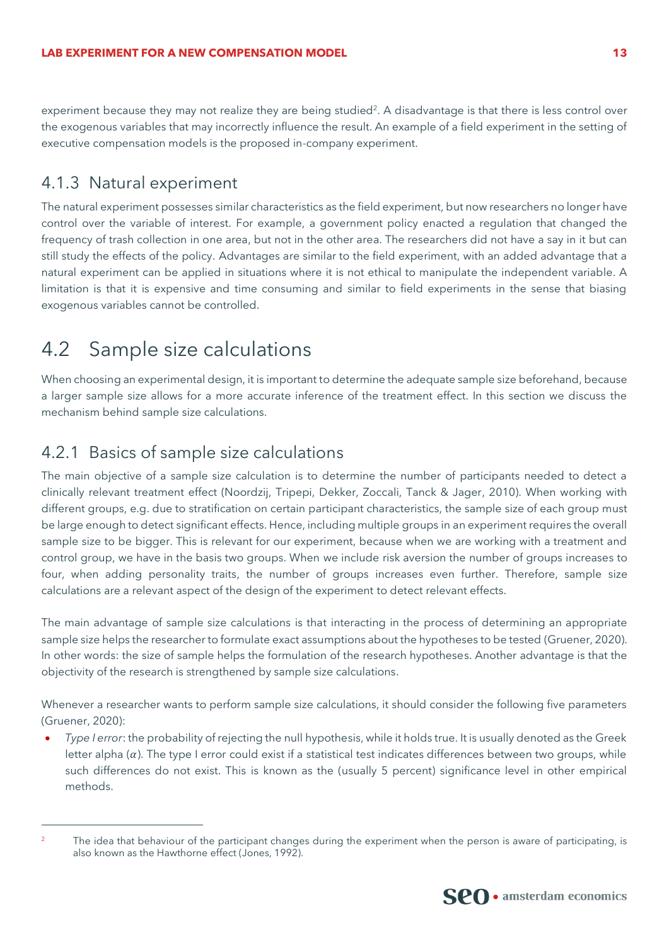experiment because they may not realize they are being studied<sup>2</sup>. A disadvantage is that there is less control over the exogenous variables that may incorrectly influence the result. An example of a field experiment in the setting of executive compensation models is the proposed in-company experiment.

#### 4.1.3 Natural experiment

The natural experiment possesses similar characteristics as the field experiment, but now researchers no longer have control over the variable of interest. For example, a government policy enacted a regulation that changed the frequency of trash collection in one area, but not in the other area. The researchers did not have a say in it but can still study the effects of the policy. Advantages are similar to the field experiment, with an added advantage that a natural experiment can be applied in situations where it is not ethical to manipulate the independent variable. A limitation is that it is expensive and time consuming and similar to field experiments in the sense that biasing exogenous variables cannot be controlled.

## <span id="page-13-0"></span>4.2 Sample size calculations

When choosing an experimental design, it is important to determine the adequate sample size beforehand, because a larger sample size allows for a more accurate inference of the treatment effect. In this section we discuss the mechanism behind sample size calculations.

### 4.2.1 Basics of sample size calculations

The main objective of a sample size calculation is to determine the number of participants needed to detect a clinically relevant treatment effect (Noordzij, Tripepi, Dekker, Zoccali, Tanck & Jager, 2010). When working with different groups, e.g. due to stratification on certain participant characteristics, the sample size of each group must be large enough to detect significant effects. Hence, including multiple groups in an experiment requires the overall sample size to be bigger. This is relevant for our experiment, because when we are working with a treatment and control group, we have in the basis two groups. When we include risk aversion the number of groups increases to four, when adding personality traits, the number of groups increases even further. Therefore, sample size calculations are a relevant aspect of the design of the experiment to detect relevant effects.

The main advantage of sample size calculations is that interacting in the process of determining an appropriate sample size helps the researcher to formulate exact assumptions about the hypotheses to be tested (Gruener, 2020). In other words: the size of sample helps the formulation of the research hypotheses. Another advantage is that the objectivity of the research is strengthened by sample size calculations.

Whenever a researcher wants to perform sample size calculations, it should consider the following five parameters (Gruener, 2020):

• *Type I error*: the probability of rejecting the null hypothesis, while it holds true. It is usually denoted as the Greek letter alpha  $(a)$ . The type I error could exist if a statistical test indicates differences between two groups, while such differences do not exist. This is known as the (usually 5 percent) significance level in other empirical methods.



The idea that behaviour of the participant changes during the experiment when the person is aware of participating, is also known as the Hawthorne effect (Jones, 1992).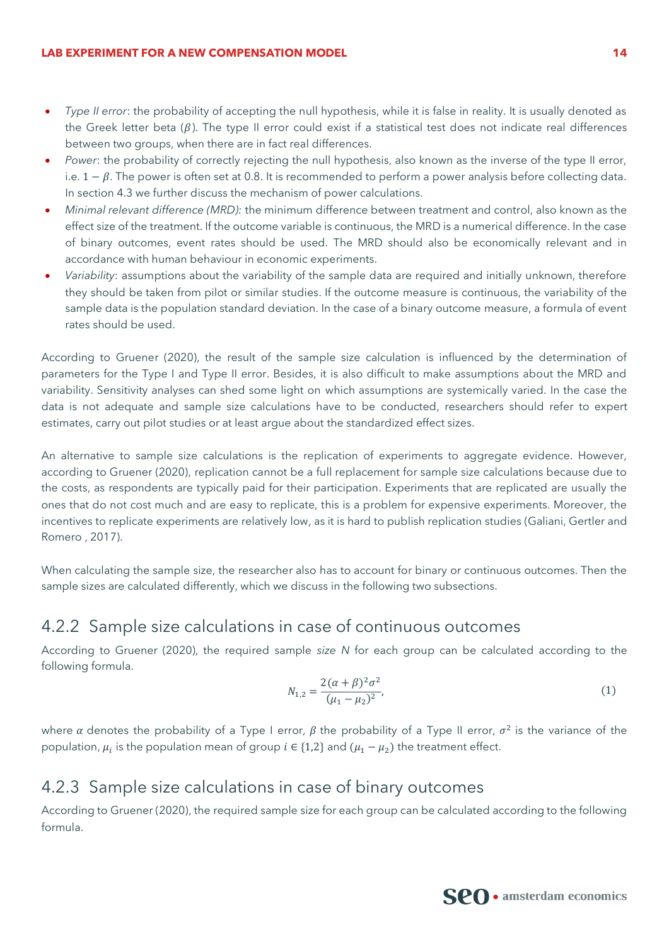- *Type II error*: the probability of accepting the null hypothesis, while it is false in reality. It is usually denoted as the Greek letter beta ( $\beta$ ). The type II error could exist if a statistical test does not indicate real differences between two groups, when there are in fact real differences.
- *Power*: the probability of correctly rejecting the null hypothesis, also known as the inverse of the type II error, i.e.  $1 - \beta$ . The power is often set at 0.8. It is recommended to perform a power analysis before collecting data. In section [4.3](#page-15-0) we further discuss the mechanism of power calculations.
- *Minimal relevant difference (MRD):* the minimum difference between treatment and control, also known as the effect size of the treatment. If the outcome variable is continuous, the MRD is a numerical difference. In the case of binary outcomes, event rates should be used. The MRD should also be economically relevant and in accordance with human behaviour in economic experiments.
- *Variability*: assumptions about the variability of the sample data are required and initially unknown, therefore they should be taken from pilot or similar studies. If the outcome measure is continuous, the variability of the sample data is the population standard deviation. In the case of a binary outcome measure, a formula of event rates should be used.

According to Gruener (2020), the result of the sample size calculation is influenced by the determination of parameters for the Type I and Type II error. Besides, it is also difficult to make assumptions about the MRD and variability. Sensitivity analyses can shed some light on which assumptions are systemically varied. In the case the data is not adequate and sample size calculations have to be conducted, researchers should refer to expert estimates, carry out pilot studies or at least argue about the standardized effect sizes.

An alternative to sample size calculations is the replication of experiments to aggregate evidence. However, according to Gruener (2020), replication cannot be a full replacement for sample size calculations because due to the costs, as respondents are typically paid for their participation. Experiments that are replicated are usually the ones that do not cost much and are easy to replicate, this is a problem for expensive experiments. Moreover, the incentives to replicate experiments are relatively low, as it is hard to publish replication studies (Galiani, Gertler and Romero , 2017).

When calculating the sample size, the researcher also has to account for binary or continuous outcomes. Then the sample sizes are calculated differently, which we discuss in the following two subsections.

## 4.2.2 Sample size calculations in case of continuous outcomes

According to Gruener (2020), the required sample *size N* for each group can be calculated according to the following formula.

$$
N_{1,2} = \frac{2(\alpha + \beta)^2 \sigma^2}{(\mu_1 - \mu_2)^2},\tag{1}
$$

where a denotes the probability of a Type I error,  $\beta$  the probability of a Type II error,  $\sigma^2$  is the variance of the population,  $\mu_i$  is the population mean of group  $i \in \{1,2\}$  and  $(\mu_1 - \mu_2)$  the treatment effect.

#### 4.2.3 Sample size calculations in case of binary outcomes

According to Gruener (2020), the required sample size for each group can be calculated according to the following formula.

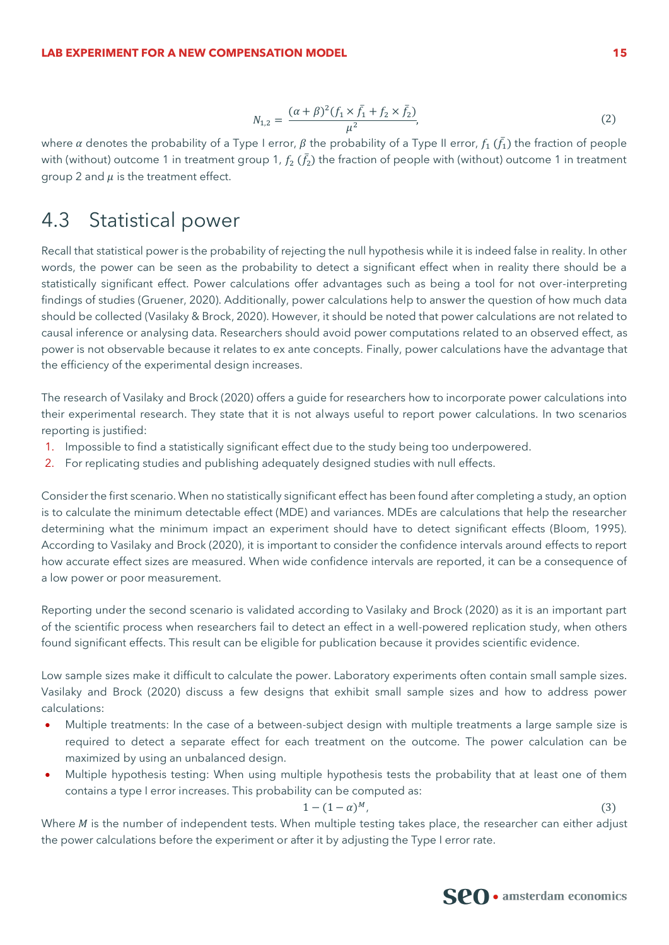$$
N_{1,2} = \frac{(\alpha + \beta)^2 (f_1 \times \bar{f}_1 + f_2 \times \bar{f}_2)}{\mu^2},
$$
\n(2)

where  $\alpha$  denotes the probability of a Type I error,  $\beta$  the probability of a Type II error,  $f_1$  ( $\bar f_1$ ) the fraction of people with (without) outcome 1 in treatment group 1,  $f_2$  ( $\bar{f_2}$ ) the fraction of people with (without) outcome 1 in treatment group 2 and  $\mu$  is the treatment effect.

## <span id="page-15-0"></span>4.3 Statistical power

Recall that statistical power is the probability of rejecting the null hypothesis while it is indeed false in reality. In other words, the power can be seen as the probability to detect a significant effect when in reality there should be a statistically significant effect. Power calculations offer advantages such as being a tool for not over-interpreting findings of studies (Gruener, 2020). Additionally, power calculations help to answer the question of how much data should be collected (Vasilaky & Brock, 2020). However, it should be noted that power calculations are not related to causal inference or analysing data. Researchers should avoid power computations related to an observed effect, as power is not observable because it relates to ex ante concepts. Finally, power calculations have the advantage that the efficiency of the experimental design increases.

The research of Vasilaky and Brock (2020) offers a guide for researchers how to incorporate power calculations into their experimental research. They state that it is not always useful to report power calculations. In two scenarios reporting is justified:

- 1. Impossible to find a statistically significant effect due to the study being too underpowered.
- 2. For replicating studies and publishing adequately designed studies with null effects.

Consider the first scenario. When no statistically significant effect has been found after completing a study, an option is to calculate the minimum detectable effect (MDE) and variances. MDEs are calculations that help the researcher determining what the minimum impact an experiment should have to detect significant effects (Bloom, 1995). According to Vasilaky and Brock (2020), it is important to consider the confidence intervals around effects to report how accurate effect sizes are measured. When wide confidence intervals are reported, it can be a consequence of a low power or poor measurement.

Reporting under the second scenario is validated according to Vasilaky and Brock (2020) as it is an important part of the scientific process when researchers fail to detect an effect in a well-powered replication study, when others found significant effects. This result can be eligible for publication because it provides scientific evidence.

Low sample sizes make it difficult to calculate the power. Laboratory experiments often contain small sample sizes. Vasilaky and Brock (2020) discuss a few designs that exhibit small sample sizes and how to address power calculations:

- Multiple treatments: In the case of a between-subject design with multiple treatments a large sample size is required to detect a separate effect for each treatment on the outcome. The power calculation can be maximized by using an unbalanced design.
- Multiple hypothesis testing: When using multiple hypothesis tests the probability that at least one of them contains a type I error increases. This probability can be computed as:

$$
1 - (1 - \alpha)^M,\tag{3}
$$

Where  $M$  is the number of independent tests. When multiple testing takes place, the researcher can either adjust the power calculations before the experiment or after it by adjusting the Type I error rate.

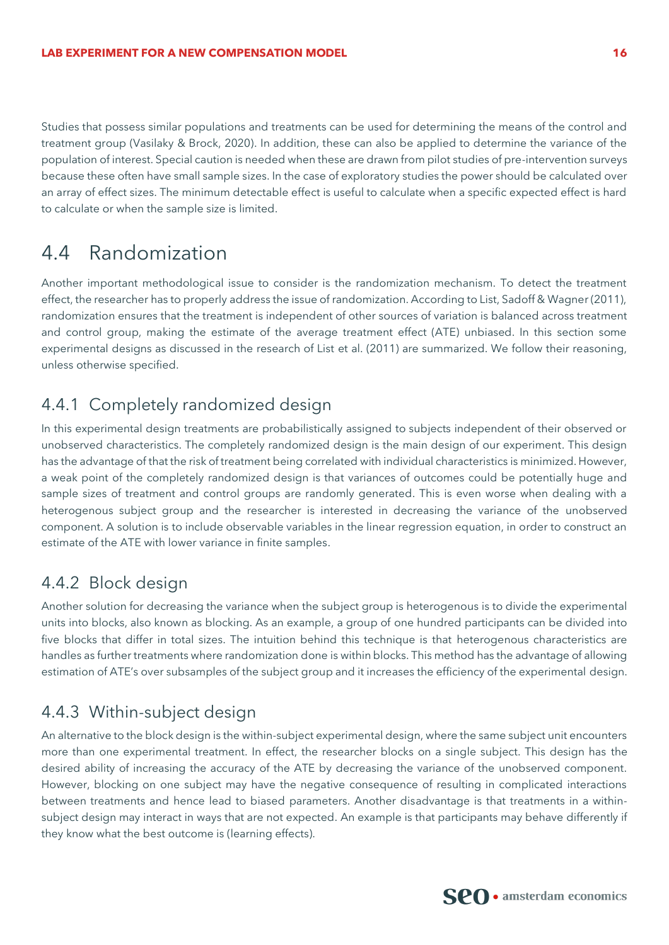Studies that possess similar populations and treatments can be used for determining the means of the control and treatment group (Vasilaky & Brock, 2020). In addition, these can also be applied to determine the variance of the population of interest. Special caution is needed when these are drawn from pilot studies of pre-intervention surveys because these often have small sample sizes. In the case of exploratory studies the power should be calculated over an array of effect sizes. The minimum detectable effect is useful to calculate when a specific expected effect is hard to calculate or when the sample size is limited.

## 4.4 Randomization

Another important methodological issue to consider is the randomization mechanism. To detect the treatment effect, the researcher has to properly address the issue of randomization. According to List, Sadoff & Wagner (2011), randomization ensures that the treatment is independent of other sources of variation is balanced across treatment and control group, making the estimate of the average treatment effect (ATE) unbiased. In this section some experimental designs as discussed in the research of List et al. (2011) are summarized. We follow their reasoning, unless otherwise specified.

## 4.4.1 Completely randomized design

In this experimental design treatments are probabilistically assigned to subjects independent of their observed or unobserved characteristics. The completely randomized design is the main design of our experiment. This design has the advantage of that the risk of treatment being correlated with individual characteristics is minimized. However, a weak point of the completely randomized design is that variances of outcomes could be potentially huge and sample sizes of treatment and control groups are randomly generated. This is even worse when dealing with a heterogenous subject group and the researcher is interested in decreasing the variance of the unobserved component. A solution is to include observable variables in the linear regression equation, in order to construct an estimate of the ATE with lower variance in finite samples.

### 4.4.2 Block design

Another solution for decreasing the variance when the subject group is heterogenous is to divide the experimental units into blocks, also known as blocking. As an example, a group of one hundred participants can be divided into five blocks that differ in total sizes. The intuition behind this technique is that heterogenous characteristics are handles as further treatments where randomization done is within blocks. This method has the advantage of allowing estimation of ATE's over subsamples of the subject group and it increases the efficiency of the experimental design.

### 4.4.3 Within-subject design

An alternative to the block design is the within-subject experimental design, where the same subject unit encounters more than one experimental treatment. In effect, the researcher blocks on a single subject. This design has the desired ability of increasing the accuracy of the ATE by decreasing the variance of the unobserved component. However, blocking on one subject may have the negative consequence of resulting in complicated interactions between treatments and hence lead to biased parameters. Another disadvantage is that treatments in a withinsubject design may interact in ways that are not expected. An example is that participants may behave differently if they know what the best outcome is (learning effects).

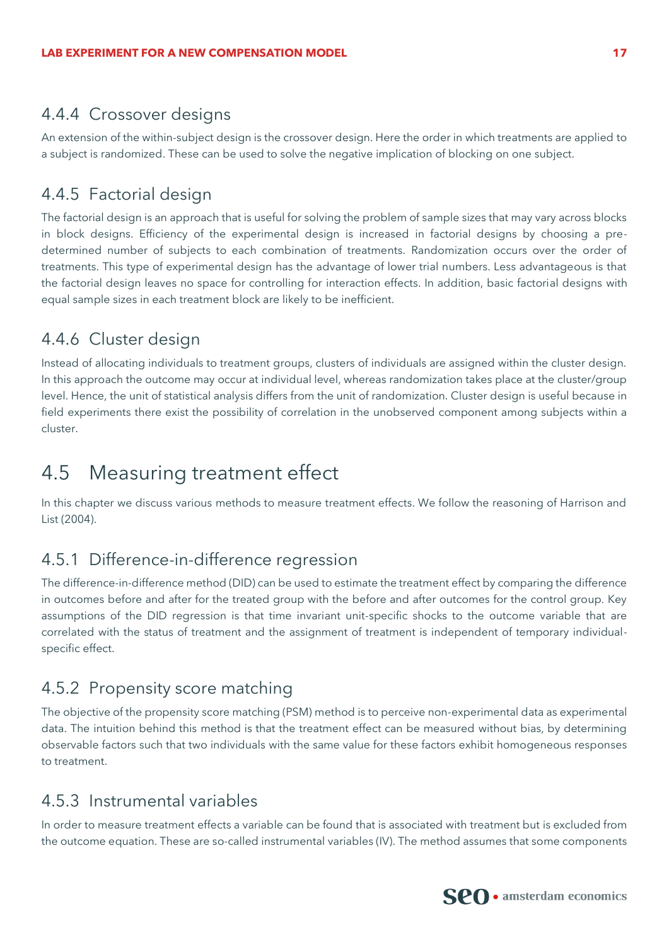#### 4.4.4 Crossover designs

An extension of the within-subject design is the crossover design. Here the order in which treatments are applied to a subject is randomized. These can be used to solve the negative implication of blocking on one subject.

### 4.4.5 Factorial design

The factorial design is an approach that is useful for solving the problem of sample sizes that may vary across blocks in block designs. Efficiency of the experimental design is increased in factorial designs by choosing a predetermined number of subjects to each combination of treatments. Randomization occurs over the order of treatments. This type of experimental design has the advantage of lower trial numbers. Less advantageous is that the factorial design leaves no space for controlling for interaction effects. In addition, basic factorial designs with equal sample sizes in each treatment block are likely to be inefficient.

## 4.4.6 Cluster design

Instead of allocating individuals to treatment groups, clusters of individuals are assigned within the cluster design. In this approach the outcome may occur at individual level, whereas randomization takes place at the cluster/group level. Hence, the unit of statistical analysis differs from the unit of randomization. Cluster design is useful because in field experiments there exist the possibility of correlation in the unobserved component among subjects within a cluster.

## <span id="page-17-0"></span>4.5 Measuring treatment effect

In this chapter we discuss various methods to measure treatment effects. We follow the reasoning of Harrison and List (2004).

### 4.5.1 Difference-in-difference regression

The difference-in-difference method (DID) can be used to estimate the treatment effect by comparing the difference in outcomes before and after for the treated group with the before and after outcomes for the control group. Key assumptions of the DID regression is that time invariant unit-specific shocks to the outcome variable that are correlated with the status of treatment and the assignment of treatment is independent of temporary individualspecific effect.

### 4.5.2 Propensity score matching

The objective of the propensity score matching (PSM) method is to perceive non-experimental data as experimental data. The intuition behind this method is that the treatment effect can be measured without bias, by determining observable factors such that two individuals with the same value for these factors exhibit homogeneous responses to treatment.

### 4.5.3 Instrumental variables

In order to measure treatment effects a variable can be found that is associated with treatment but is excluded from the outcome equation. These are so-called instrumental variables (IV). The method assumes that some components

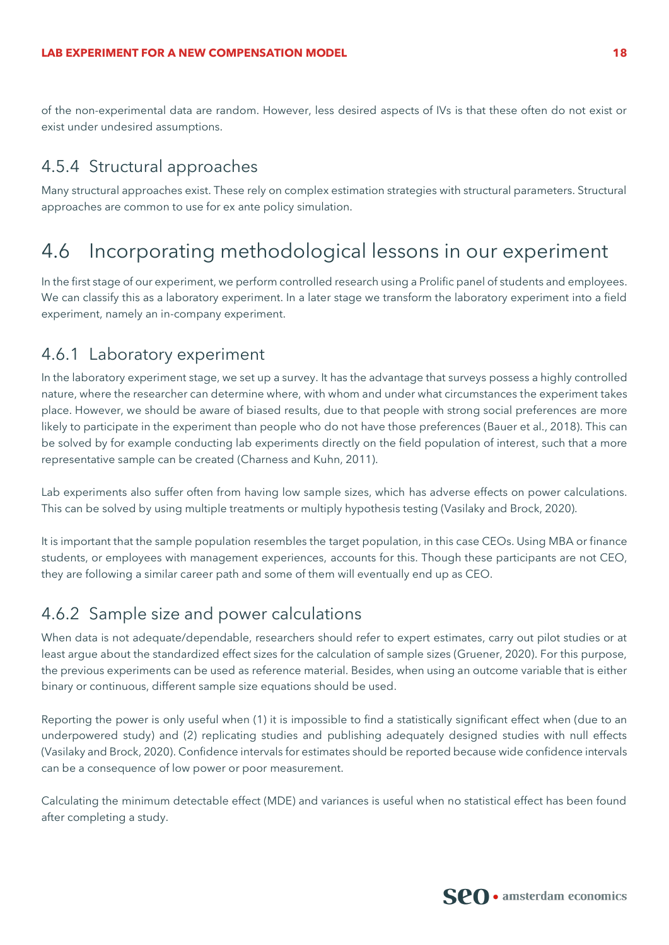of the non-experimental data are random. However, less desired aspects of IVs is that these often do not exist or exist under undesired assumptions.

### 4.5.4 Structural approaches

Many structural approaches exist. These rely on complex estimation strategies with structural parameters. Structural approaches are common to use for ex ante policy simulation.

## <span id="page-18-0"></span>4.6 Incorporating methodological lessons in our experiment

In the first stage of our experiment, we perform controlled research using a Prolific panel of students and employees. We can classify this as a laboratory experiment. In a later stage we transform the laboratory experiment into a field experiment, namely an in-company experiment.

#### 4.6.1 Laboratory experiment

In the laboratory experiment stage, we set up a survey. It has the advantage that surveys possess a highly controlled nature, where the researcher can determine where, with whom and under what circumstances the experiment takes place. However, we should be aware of biased results, due to that people with strong social preferences are more likely to participate in the experiment than people who do not have those preferences (Bauer et al., 2018). This can be solved by for example conducting lab experiments directly on the field population of interest, such that a more representative sample can be created (Charness and Kuhn, 2011).

Lab experiments also suffer often from having low sample sizes, which has adverse effects on power calculations. This can be solved by using multiple treatments or multiply hypothesis testing (Vasilaky and Brock, 2020).

It is important that the sample population resembles the target population, in this case CEOs. Using MBA or finance students, or employees with management experiences, accounts for this. Though these participants are not CEO, they are following a similar career path and some of them will eventually end up as CEO.

### 4.6.2 Sample size and power calculations

When data is not adequate/dependable, researchers should refer to expert estimates, carry out pilot studies or at least argue about the standardized effect sizes for the calculation of sample sizes (Gruener, 2020). For this purpose, the previous experiments can be used as reference material. Besides, when using an outcome variable that is either binary or continuous, different sample size equations should be used.

Reporting the power is only useful when (1) it is impossible to find a statistically significant effect when (due to an underpowered study) and (2) replicating studies and publishing adequately designed studies with null effects (Vasilaky and Brock, 2020). Confidence intervals for estimates should be reported because wide confidence intervals can be a consequence of low power or poor measurement.

Calculating the minimum detectable effect (MDE) and variances is useful when no statistical effect has been found after completing a study.

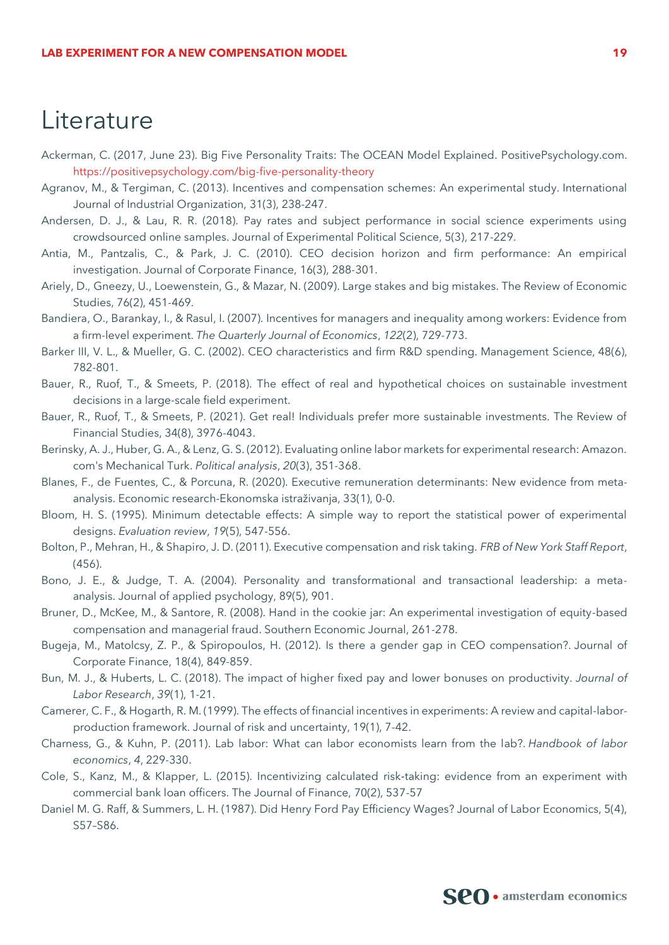## **Literature**

- Ackerman, C. (2017, June 23). Big Five Personality Traits: The OCEAN Model Explained. PositivePsychology.com. <https://positivepsychology.com/big-five-personality-theory>
- Agranov, M., & Tergiman, C. (2013). Incentives and compensation schemes: An experimental study. International Journal of Industrial Organization, 31(3), 238-247.
- Andersen, D. J., & Lau, R. R. (2018). Pay rates and subject performance in social science experiments using crowdsourced online samples. Journal of Experimental Political Science, 5(3), 217-229.
- Antia, M., Pantzalis, C., & Park, J. C. (2010). CEO decision horizon and firm performance: An empirical investigation. Journal of Corporate Finance, 16(3), 288-301.
- Ariely, D., Gneezy, U., Loewenstein, G., & Mazar, N. (2009). Large stakes and big mistakes. The Review of Economic Studies, 76(2), 451-469.
- Bandiera, O., Barankay, I., & Rasul, I. (2007). Incentives for managers and inequality among workers: Evidence from a firm-level experiment. *The Quarterly Journal of Economics*, *122*(2), 729-773.
- Barker III, V. L., & Mueller, G. C. (2002). CEO characteristics and firm R&D spending. Management Science, 48(6), 782-801.
- Bauer, R., Ruof, T., & Smeets, P. (2018). The effect of real and hypothetical choices on sustainable investment decisions in a large-scale field experiment.
- Bauer, R., Ruof, T., & Smeets, P. (2021). Get real! Individuals prefer more sustainable investments. The Review of Financial Studies, 34(8), 3976-4043.
- Berinsky, A. J., Huber, G. A., & Lenz, G. S. (2012). Evaluating online labor markets for experimental research: Amazon. com's Mechanical Turk. *Political analysis*, *20*(3), 351-368.
- Blanes, F., de Fuentes, C., & Porcuna, R. (2020). Executive remuneration determinants: New evidence from metaanalysis. Economic research-Ekonomska istraživanja, 33(1), 0-0.
- Bloom, H. S. (1995). Minimum detectable effects: A simple way to report the statistical power of experimental designs. *Evaluation review*, *19*(5), 547-556.
- Bolton, P., Mehran, H., & Shapiro, J. D. (2011). Executive compensation and risk taking. *FRB of New York Staff Report*, (456).
- Bono, J. E., & Judge, T. A. (2004). Personality and transformational and transactional leadership: a metaanalysis. Journal of applied psychology, 89(5), 901.
- Bruner, D., McKee, M., & Santore, R. (2008). Hand in the cookie jar: An experimental investigation of equity-based compensation and managerial fraud. Southern Economic Journal, 261-278.
- Bugeja, M., Matolcsy, Z. P., & Spiropoulos, H. (2012). Is there a gender gap in CEO compensation?. Journal of Corporate Finance, 18(4), 849-859.
- Bun, M. J., & Huberts, L. C. (2018). The impact of higher fixed pay and lower bonuses on productivity. *Journal of Labor Research*, *39*(1), 1-21.
- Camerer, C. F., & Hogarth, R. M. (1999). The effects of financial incentives in experiments: A review and capital-laborproduction framework. Journal of risk and uncertainty, 19(1), 7-42.
- Charness, G., & Kuhn, P. (2011). Lab labor: What can labor economists learn from the lab?. *Handbook of labor economics*, *4*, 229-330.
- Cole, S., Kanz, M., & Klapper, L. (2015). Incentivizing calculated risk‐taking: evidence from an experiment with commercial bank loan officers. The Journal of Finance, 70(2), 537-57
- Daniel M. G. Raff, & Summers, L. H. (1987). Did Henry Ford Pay Efficiency Wages? Journal of Labor Economics, 5(4), S57–S86.

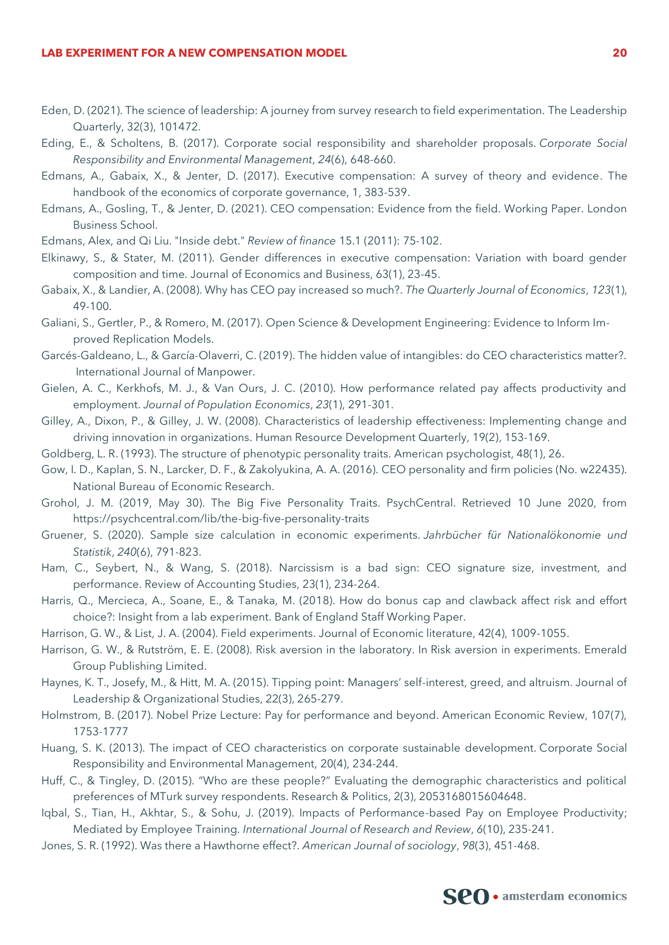- Eden, D. (2021). The science of leadership: A journey from survey research to field experimentation. The Leadership Quarterly, 32(3), 101472.
- Eding, E., & Scholtens, B. (2017). Corporate social responsibility and shareholder proposals. *Corporate Social Responsibility and Environmental Management*, *24*(6), 648-660.
- Edmans, A., Gabaix, X., & Jenter, D. (2017). Executive compensation: A survey of theory and evidence. The handbook of the economics of corporate governance, 1, 383-539.
- Edmans, A., Gosling, T., & Jenter, D. (2021). CEO compensation: Evidence from the field. Working Paper. London Business School.

Edmans, Alex, and Qi Liu. "Inside debt." *Review of finance* 15.1 (2011): 75-102.

- Elkinawy, S., & Stater, M. (2011). Gender differences in executive compensation: Variation with board gender composition and time. Journal of Economics and Business, 63(1), 23-45.
- Gabaix, X., & Landier, A. (2008). Why has CEO pay increased so much?. *The Quarterly Journal of Economics*, *123*(1), 49-100.
- Galiani, S., Gertler, P., & Romero, M. (2017). Open Science & Development Engineering: Evidence to Inform Improved Replication Models.
- Garcés-Galdeano, L., & García-Olaverri, C. (2019). The hidden value of intangibles: do CEO characteristics matter?. International Journal of Manpower.
- Gielen, A. C., Kerkhofs, M. J., & Van Ours, J. C. (2010). How performance related pay affects productivity and employment. *Journal of Population Economics*, *23*(1), 291-301.
- Gilley, A., Dixon, P., & Gilley, J. W. (2008). Characteristics of leadership effectiveness: Implementing change and driving innovation in organizations. Human Resource Development Quarterly, 19(2), 153-169.
- Goldberg, L. R. (1993). The structure of phenotypic personality traits. American psychologist, 48(1), 26.
- Gow, I. D., Kaplan, S. N., Larcker, D. F., & Zakolyukina, A. A. (2016). CEO personality and firm policies (No. w22435). National Bureau of Economic Research.
- Grohol, J. M. (2019, May 30). The Big Five Personality Traits. PsychCentral. Retrieved 10 June 2020, from https://psychcentral.com/lib/the-big-five-personality-traits
- Gruener, S. (2020). Sample size calculation in economic experiments. *Jahrbücher für Nationalökonomie und Statistik*, *240*(6), 791-823.
- Ham, C., Seybert, N., & Wang, S. (2018). Narcissism is a bad sign: CEO signature size, investment, and performance. Review of Accounting Studies, 23(1), 234-264.
- Harris, Q., Mercieca, A., Soane, E., & Tanaka, M. (2018). How do bonus cap and clawback affect risk and effort choice?: Insight from a lab experiment. Bank of England Staff Working Paper.

Harrison, G. W., & List, J. A. (2004). Field experiments. Journal of Economic literature, 42(4), 1009-1055.

- Harrison, G. W., & Rutström, E. E. (2008). Risk aversion in the laboratory. In Risk aversion in experiments. Emerald Group Publishing Limited.
- Haynes, K. T., Josefy, M., & Hitt, M. A. (2015). Tipping point: Managers' self-interest, greed, and altruism. Journal of Leadership & Organizational Studies, 22(3), 265-279.
- Holmstrom, B. (2017). Nobel Prize Lecture: Pay for performance and beyond. American Economic Review, 107(7), 1753-1777
- Huang, S. K. (2013). The impact of CEO characteristics on corporate sustainable development. Corporate Social Responsibility and Environmental Management, 20(4), 234-244.
- Huff, C., & Tingley, D. (2015). "Who are these people?" Evaluating the demographic characteristics and political preferences of MTurk survey respondents. Research & Politics, 2(3), 2053168015604648.
- Iqbal, S., Tian, H., Akhtar, S., & Sohu, J. (2019). Impacts of Performance-based Pay on Employee Productivity; Mediated by Employee Training. *International Journal of Research and Review*, *6*(10), 235-241.
- Jones, S. R. (1992). Was there a Hawthorne effect?. *American Journal of sociology*, *98*(3), 451-468.

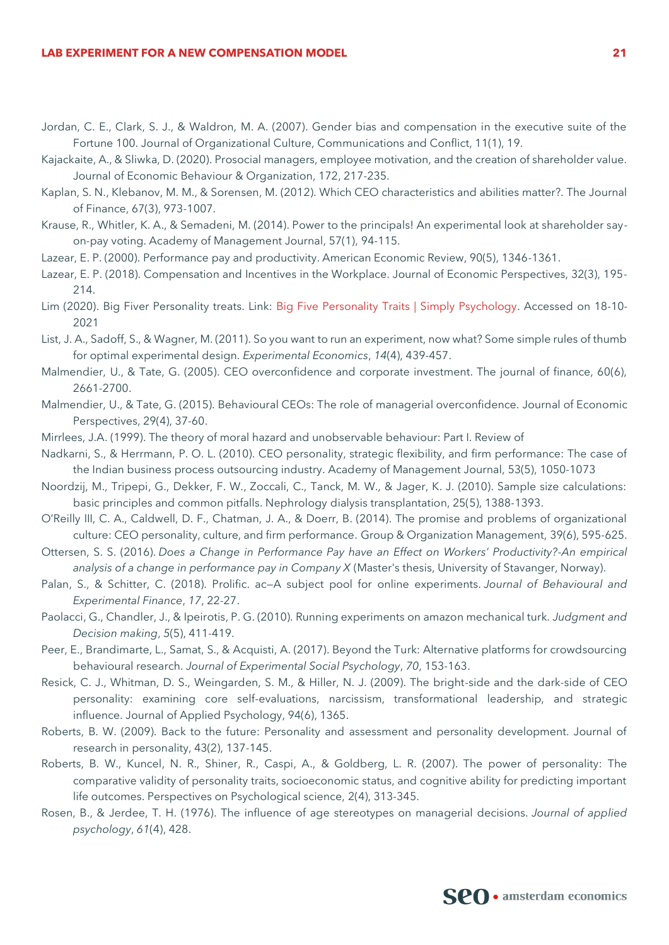#### **LAB EXPERIMENT FOR A NEW COMPENSATION MODEL 21**

- Jordan, C. E., Clark, S. J., & Waldron, M. A. (2007). Gender bias and compensation in the executive suite of the Fortune 100. Journal of Organizational Culture, Communications and Conflict, 11(1), 19.
- Kajackaite, A., & Sliwka, D. (2020). Prosocial managers, employee motivation, and the creation of shareholder value. Journal of Economic Behaviour & Organization, 172, 217-235.
- Kaplan, S. N., Klebanov, M. M., & Sorensen, M. (2012). Which CEO characteristics and abilities matter?. The Journal of Finance, 67(3), 973-1007.
- Krause, R., Whitler, K. A., & Semadeni, M. (2014). Power to the principals! An experimental look at shareholder sayon-pay voting. Academy of Management Journal, 57(1), 94-115.
- Lazear, E. P. (2000). Performance pay and productivity. American Economic Review, 90(5), 1346-1361.
- Lazear, E. P. (2018). Compensation and Incentives in the Workplace. Journal of Economic Perspectives, 32(3), 195- 214.
- Lim (2020). Big Fiver Personality treats. Link: [Big Five Personality Traits | Simply Psychology.](https://www.simplypsychology.org/big-five-personality.html#:~:text=The%20Big%20Five%20personality%20traits%20are%20extraversion%20%28also,remain%20relatively%20stable%20throughout%20most%20of%20one%E2%80%99s%20lifetime.) Accessed on 18-10- 2021
- List, J. A., Sadoff, S., & Wagner, M. (2011). So you want to run an experiment, now what? Some simple rules of thumb for optimal experimental design. *Experimental Economics*, *14*(4), 439-457.
- Malmendier, U., & Tate, G. (2005). CEO overconfidence and corporate investment. The journal of finance, 60(6), 2661-2700.
- Malmendier, U., & Tate, G. (2015). Behavioural CEOs: The role of managerial overconfidence. Journal of Economic Perspectives, 29(4), 37-60.
- Mirrlees, J.A. (1999). The theory of moral hazard and unobservable behaviour: Part I. Review of
- Nadkarni, S., & Herrmann, P. O. L. (2010). CEO personality, strategic flexibility, and firm performance: The case of the Indian business process outsourcing industry. Academy of Management Journal, 53(5), 1050-1073
- Noordzij, M., Tripepi, G., Dekker, F. W., Zoccali, C., Tanck, M. W., & Jager, K. J. (2010). Sample size calculations: basic principles and common pitfalls. Nephrology dialysis transplantation, 25(5), 1388-1393.
- O'Reilly III, C. A., Caldwell, D. F., Chatman, J. A., & Doerr, B. (2014). The promise and problems of organizational culture: CEO personality, culture, and firm performance. Group & Organization Management, 39(6), 595-625.
- Ottersen, S. S. (2016). *Does a Change in Performance Pay have an Effect on Workers' Productivity?-An empirical analysis of a change in performance pay in Company X* (Master's thesis, University of Stavanger, Norway).
- Palan, S., & Schitter, C. (2018). Prolific. ac—A subject pool for online experiments. *Journal of Behavioural and Experimental Finance*, *17*, 22-27.
- Paolacci, G., Chandler, J., & Ipeirotis, P. G. (2010). Running experiments on amazon mechanical turk. *Judgment and Decision making*, *5*(5), 411-419.
- Peer, E., Brandimarte, L., Samat, S., & Acquisti, A. (2017). Beyond the Turk: Alternative platforms for crowdsourcing behavioural research. *Journal of Experimental Social Psychology*, *70*, 153-163.
- Resick, C. J., Whitman, D. S., Weingarden, S. M., & Hiller, N. J. (2009). The bright-side and the dark-side of CEO personality: examining core self-evaluations, narcissism, transformational leadership, and strategic influence. Journal of Applied Psychology, 94(6), 1365.
- Roberts, B. W. (2009). Back to the future: Personality and assessment and personality development. Journal of research in personality, 43(2), 137-145.
- Roberts, B. W., Kuncel, N. R., Shiner, R., Caspi, A., & Goldberg, L. R. (2007). The power of personality: The comparative validity of personality traits, socioeconomic status, and cognitive ability for predicting important life outcomes. Perspectives on Psychological science, 2(4), 313-345.
- Rosen, B., & Jerdee, T. H. (1976). The influence of age stereotypes on managerial decisions. *Journal of applied psychology*, *61*(4), 428.